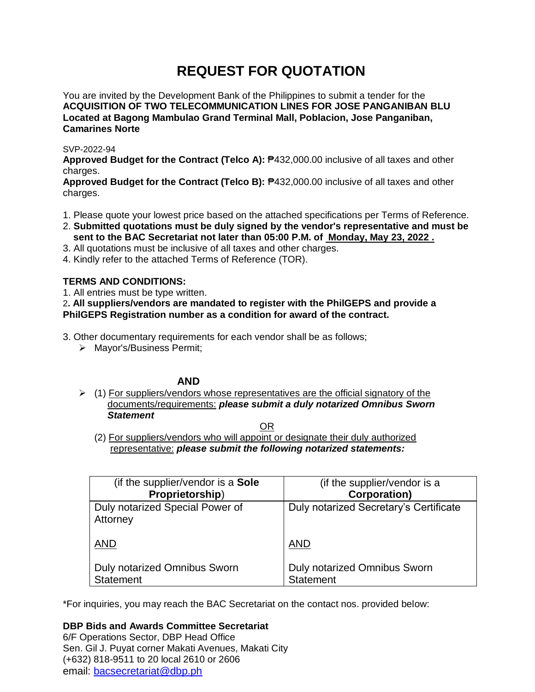# **REQUEST FOR QUOTATION**

You are invited by the Development Bank of the Philippines to submit a tender for the **ACQUISITION OF TWO TELECOMMUNICATION LINES FOR JOSE PANGANIBAN BLU Located at Bagong Mambulao Grand Terminal Mall, Poblacion, Jose Panganiban, Camarines Norte**

## SVP-2022-94

**Approved Budget for the Contract (Telco A):** ₱432,000.00 inclusive of all taxes and other charges.

**Approved Budget for the Contract (Telco B):** ₱432,000.00 inclusive of all taxes and other charges.

- 1. Please quote your lowest price based on the attached specifications per Terms of Reference.
- 2. **Submitted quotations must be duly signed by the vendor's representative and must be sent to the BAC Secretariat not later than 05:00 P.M. of Monday, May 23, 2022 .**
- 3. All quotations must be inclusive of all taxes and other charges.
- 4. Kindly refer to the attached Terms of Reference (TOR).

## **TERMS AND CONDITIONS:**

1. All entries must be type written.

2**. All suppliers/vendors are mandated to register with the PhilGEPS and provide a PhilGEPS Registration number as a condition for award of the contract.**

3. Other documentary requirements for each vendor shall be as follows;

> Mavor's/Business Permit:

## **AND**

 $\triangleright$  (1) For suppliers/vendors whose representatives are the official signatory of the documents/requirements: *please submit a duly notarized Omnibus Sworn Statement*

<u>OR Starting and the Starting OR Starting</u>

(2) For suppliers/vendors who will appoint or designate their duly authorized representative: *please submit the following notarized statements:*

| (if the supplier/vendor is a <b>Sole</b> )  | (if the supplier/vendor is a           |
|---------------------------------------------|----------------------------------------|
| Proprietorship)                             | <b>Corporation)</b>                    |
| Duly notarized Special Power of<br>Attorney | Duly notarized Secretary's Certificate |
| <b>AND</b>                                  | <b>AND</b>                             |
| Duly notarized Omnibus Sworn                | <b>Duly notarized Omnibus Sworn</b>    |
| <b>Statement</b>                            | <b>Statement</b>                       |

\*For inquiries, you may reach the BAC Secretariat on the contact nos. provided below:

# **DBP Bids and Awards Committee Secretariat**

6/F Operations Sector, DBP Head Office Sen. Gil J. Puyat corner Makati Avenues, Makati City (+632) 818-9511 to 20 local 2610 or 2606 email: [bacsecretariat@dbp.ph](mailto:bacsecretariat@dbp.ph)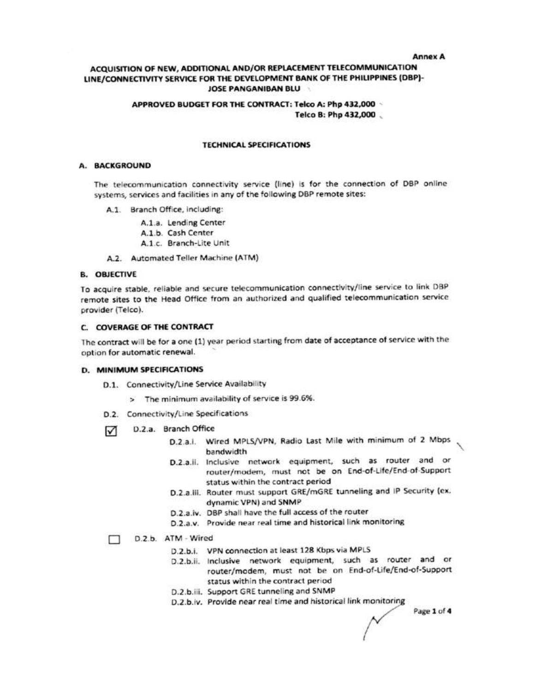#### **Annex A**

## ACQUISITION OF NEW, ADDITIONAL AND/OR REPLACEMENT TELECOMMUNICATION LINE/CONNECTIVITY SERVICE FOR THE DEVELOPMENT BANK OF THE PHILIPPINES (DBP)-**JOSE PANGANIBAN BLU**

#### APPROVED BUDGET FOR THE CONTRACT: Telco A: Php 432,000 . Telco B: Php 432,000

#### **TECHNICAL SPECIFICATIONS**

## A. BACKGROUND

The telecommunication connectivity service (line) is for the connection of DBP online systems, services and facilities in any of the following DBP remote sites:

- A.1. Branch Office, including:
	- A.1.a. Lending Center
	- A.1.b. Cash Center
	- A.1.c. Branch-Lite Unit
- A.2. Automated Teller Machine (ATM)

#### **B. OBJECTIVE**

To acquire stable, reliable and secure telecommunication connectivity/line service to link DBP remote sites to the Head Office from an authorized and qualified telecommunication service provider (Telco).

#### C. COVERAGE OF THE CONTRACT

The contract will be for a one (1) year period starting from date of acceptance of service with the option for automatic renewal.

#### **D. MINIMUM SPECIFICATIONS**

- D.1. Connectivity/Line Service Availability
	- > The minimum availability of service is 99.6%.
- D.2. Connectivity/Line Specifications
- D.2.a. Branch Office ☑
	- D.2.a.l. Wired MPLS/VPN, Radio Last Mile with minimum of 2 Mbps bandwidth
	- D.2.a.ii. Inclusive network equipment, such as router and or router/modem, must not be on End-of-Life/End-of-Support status within the contract period
	- D.2.a.iii. Router must support GRE/mGRE tunneling and IP Security (ex. dynamic VPN) and SNMP
	- D.2.a.iv. DBP shall have the full access of the router
	- D.2.a.v. Provide near real time and historical link monitoring

## D.2.b. ATM - Wired

- D.2.b.i. VPN connection at least 128 Kbps via MPLS
- D.2.b.ii. Inclusive network equipment, such as router and or router/modem, must not be on End-of-Life/End-of-Support status within the contract period
- D.2.b.iii. Support GRE tunneling and SNMP
- D.2.b.iv. Provide near real time and historical link monitoring

Page 1 of 4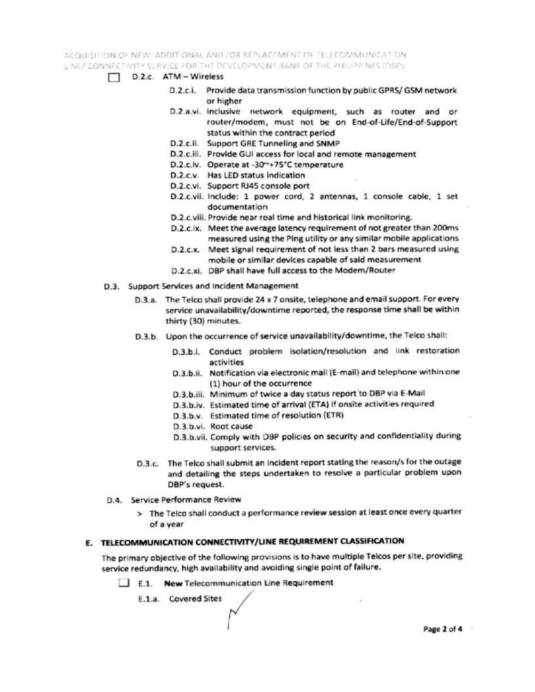ACQUISITION OF NEW, ADDITIONAL AND / OR REPLACEMENT OF TELECOMMUNICATION LINE/ CONNECTIVITY SERVICE FOR THE DEVELOPMENT BANK OF THE PHILIPPINES (DRP)

- D.2.c. ATM Wireless
	- D.2.c.i. Provide data transmission function by public GPRS/ GSM network or higher
	- D.2.a.vi. Inclusive network equipment, such as router and or router/modem, must not be on End-of-Life/End-of-Support status within the contract period
	- D.2.c.ii. Support GRE Tunneling and SNMP
	- D.2.c.iii. Provide GUI access for local and remote management
	- D.2.c.iv. Operate at -30~+75"C temperature
	- D.2.c.v. Has LED status indication
	- D.2.c.vi. Support RJ45 console port
	- D.2.c.vii. Include: 1 power cord, 2 antennas, 1 console cable, 1 set documentation
	- D.2.c.viii. Provide near real time and historical link monitoring.
	- D.2.c.ix. Meet the average latency requirement of not greater than 200ms measured using the Ping utility or any similar mobile applications
	- D.2.c.x. Meet signal requirement of not less than 2 bars measured using mobile or similar devices capable of said measurement
	- D.2.c.xi. DBP shall have full access to the Modem/Router
- D.3. Support Services and Incident Management
	- D.3.a. The Telco shall provide 24 x 7 onsite, telephone and email support. For every service unavailability/downtime reported, the response time shall be within thirty (30) minutes.
	- D.3.b. Upon the occurrence of service unavailability/downtime, the Telco shall:
		- D.3.b.i. Conduct problem isolation/resolution and link restoration activities
		- D.3.b.ii. Notification via electronic mail (E-mail) and telephone within one (1) hour of the occurrence
		- D.3.b.iii. Minimum of twice a day status report to DBP via E-Mail
		- D.3.b.iv. Estimated time of arrival (ETA) if onsite activities required
		- D.3.b.v. Estimated time of resolution (ETR)
		- D.3.b.vi. Root cause
		- D.3.b.vii. Comply with DBP policies on security and confidentiality during support services.
	- D.3.c. The Telco shall submit an incident report stating the reason/s for the outage and detailing the steps undertaken to resolve a particular problem upon DBP's request.
	- D.4. Service Performance Review
		- > The Telco shall conduct a performance review session at least once every quarter of a year

## E. TELECOMMUNICATION CONNECTIVITY/LINE REQUIREMENT CLASSIFICATION

The primary objective of the following provisions is to have multiple Telcos per site, providing service redundancy, high availability and avoiding single point of failure.

E.1. New Telecommunication Line Requirement

E.1.a. Covered Sites

Page 2 of 4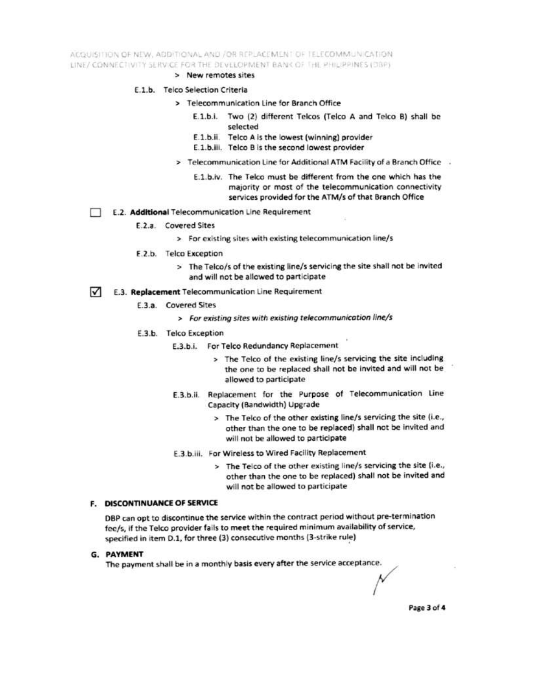ACQUISITION OF NEW, ADDITIONAL AND /OR REPLACEMENT OF TELECOMMUNICATION LINE/ CONNECTIVITY SERVICE FOR THE DEVELOPMENT BANK OF THE PHILIPPINES (DBP)

- > New remotes sites
- E.1.b. Telco Selection Criteria
	- > Telecommunication Line for Branch Office
		- E.1.b.i. Two (2) different Telcos (Telco A and Telco B) shall be selected
		- E.1.b.ii. Telco A is the lowest (winning) provider
		- E.1.b.iii. Telco B is the second lowest provider
	- > Telecommunication Line for Additional ATM Facility of a Branch Office .
		- E.1.b.iv. The Telco must be different from the one which has the majority or most of the telecommunication connectivity services provided for the ATM/s of that Branch Office
- E.2. Additional Telecommunication Line Requirement
	- E.2.a. Covered Sites
		- > For existing sites with existing telecommunication line/s
	- E.2.b. Telco Exception
		- > The Telco/s of the existing line/s servicing the site shall not be invited and will not be allowed to participate
- $\sqrt{ }$ E.3. Replacement Telecommunication Line Requirement
	- E.3.a. Covered Sites
		- > For existing sites with existing telecommunication line/s
	- E.3.b. Telco Exception
		- E.3.b.i. For Telco Redundancy Replacement
			- > The Telco of the existing line/s servicing the site including the one to be replaced shall not be invited and will not be allowed to participate
		- E.3.b.ii. Replacement for the Purpose of Telecommunication Line Capacity (Bandwidth) Upgrade
			- > The Telco of the other existing line/s servicing the site (i.e., other than the one to be replaced) shall not be invited and will not be allowed to participate
		- E.3.b.iii. For Wireless to Wired Facility Replacement
			- > The Telco of the other existing line/s servicing the site (i.e., other than the one to be replaced) shall not be invited and will not be allowed to participate

#### **F. DISCONTINUANCE OF SERVICE**

DBP can opt to discontinue the service within the contract period without pre-termination fee/s, if the Telco provider fails to meet the required minimum availability of service, specified in item D.1, for three (3) consecutive months (3-strike rule)

G. PAYMENT

The payment shall be in a monthly basis every after the service acceptance.

Page 3 of 4